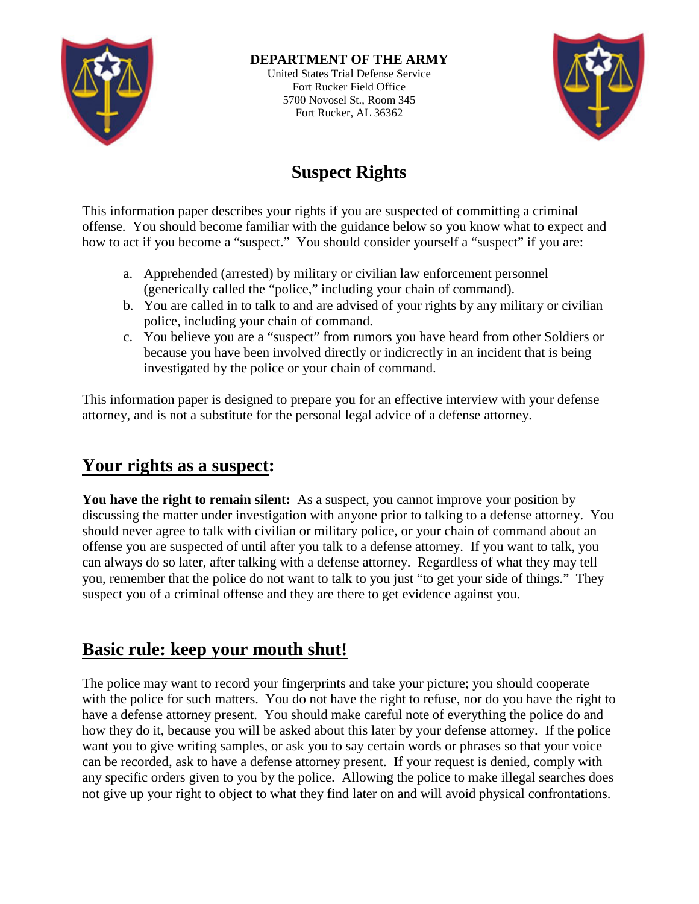

#### **DEPARTMENT OF THE ARMY**

United States Trial Defense Service Fort Rucker Field Office 5700 Novosel St., Room 345 Fort Rucker, AL 36362



# **Suspect Rights**

This information paper describes your rights if you are suspected of committing a criminal offense. You should become familiar with the guidance below so you know what to expect and how to act if you become a "suspect." You should consider yourself a "suspect" if you are:

- a. Apprehended (arrested) by military or civilian law enforcement personnel (generically called the "police," including your chain of command).
- b. You are called in to talk to and are advised of your rights by any military or civilian police, including your chain of command.
- c. You believe you are a "suspect" from rumors you have heard from other Soldiers or because you have been involved directly or indicrectly in an incident that is being investigated by the police or your chain of command.

This information paper is designed to prepare you for an effective interview with your defense attorney, and is not a substitute for the personal legal advice of a defense attorney.

## **Your rights as a suspect:**

**You have the right to remain silent:** As a suspect, you cannot improve your position by discussing the matter under investigation with anyone prior to talking to a defense attorney. You should never agree to talk with civilian or military police, or your chain of command about an offense you are suspected of until after you talk to a defense attorney. If you want to talk, you can always do so later, after talking with a defense attorney. Regardless of what they may tell you, remember that the police do not want to talk to you just "to get your side of things." They suspect you of a criminal offense and they are there to get evidence against you.

### **Basic rule: keep your mouth shut!**

The police may want to record your fingerprints and take your picture; you should cooperate with the police for such matters. You do not have the right to refuse, nor do you have the right to have a defense attorney present. You should make careful note of everything the police do and how they do it, because you will be asked about this later by your defense attorney. If the police want you to give writing samples, or ask you to say certain words or phrases so that your voice can be recorded, ask to have a defense attorney present. If your request is denied, comply with any specific orders given to you by the police. Allowing the police to make illegal searches does not give up your right to object to what they find later on and will avoid physical confrontations.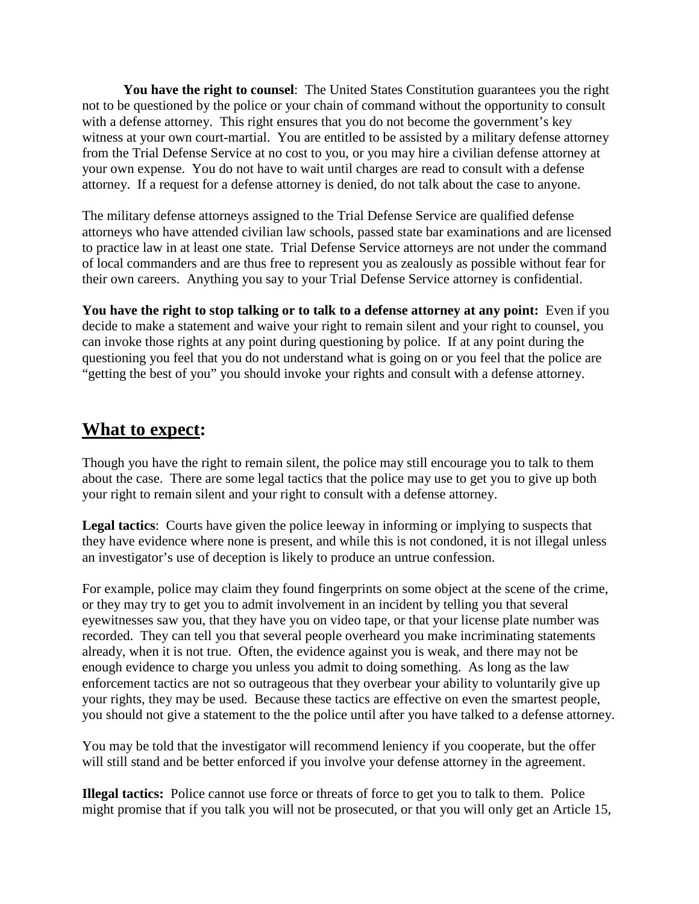**You have the right to counsel**: The United States Constitution guarantees you the right not to be questioned by the police or your chain of command without the opportunity to consult with a defense attorney. This right ensures that you do not become the government's key witness at your own court-martial. You are entitled to be assisted by a military defense attorney from the Trial Defense Service at no cost to you, or you may hire a civilian defense attorney at your own expense. You do not have to wait until charges are read to consult with a defense attorney. If a request for a defense attorney is denied, do not talk about the case to anyone.

The military defense attorneys assigned to the Trial Defense Service are qualified defense attorneys who have attended civilian law schools, passed state bar examinations and are licensed to practice law in at least one state. Trial Defense Service attorneys are not under the command of local commanders and are thus free to represent you as zealously as possible without fear for their own careers. Anything you say to your Trial Defense Service attorney is confidential.

**You have the right to stop talking or to talk to a defense attorney at any point:** Even if you decide to make a statement and waive your right to remain silent and your right to counsel, you can invoke those rights at any point during questioning by police. If at any point during the questioning you feel that you do not understand what is going on or you feel that the police are "getting the best of you" you should invoke your rights and consult with a defense attorney.

#### **What to expect:**

Though you have the right to remain silent, the police may still encourage you to talk to them about the case. There are some legal tactics that the police may use to get you to give up both your right to remain silent and your right to consult with a defense attorney.

**Legal tactics**: Courts have given the police leeway in informing or implying to suspects that they have evidence where none is present, and while this is not condoned, it is not illegal unless an investigator's use of deception is likely to produce an untrue confession.

For example, police may claim they found fingerprints on some object at the scene of the crime, or they may try to get you to admit involvement in an incident by telling you that several eyewitnesses saw you, that they have you on video tape, or that your license plate number was recorded. They can tell you that several people overheard you make incriminating statements already, when it is not true. Often, the evidence against you is weak, and there may not be enough evidence to charge you unless you admit to doing something. As long as the law enforcement tactics are not so outrageous that they overbear your ability to voluntarily give up your rights, they may be used. Because these tactics are effective on even the smartest people, you should not give a statement to the the police until after you have talked to a defense attorney.

You may be told that the investigator will recommend leniency if you cooperate, but the offer will still stand and be better enforced if you involve your defense attorney in the agreement.

**Illegal tactics:** Police cannot use force or threats of force to get you to talk to them. Police might promise that if you talk you will not be prosecuted, or that you will only get an Article 15,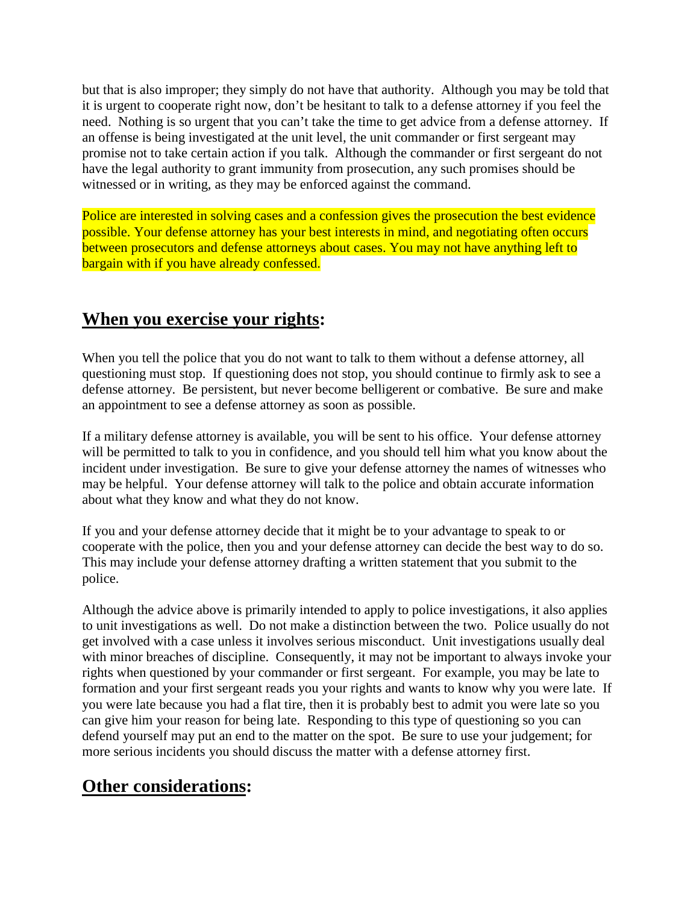but that is also improper; they simply do not have that authority. Although you may be told that it is urgent to cooperate right now, don't be hesitant to talk to a defense attorney if you feel the need. Nothing is so urgent that you can't take the time to get advice from a defense attorney. If an offense is being investigated at the unit level, the unit commander or first sergeant may promise not to take certain action if you talk. Although the commander or first sergeant do not have the legal authority to grant immunity from prosecution, any such promises should be witnessed or in writing, as they may be enforced against the command.

Police are interested in solving cases and a confession gives the prosecution the best evidence possible. Your defense attorney has your best interests in mind, and negotiating often occurs between prosecutors and defense attorneys about cases. You may not have anything left to bargain with if you have already confessed.

### **When you exercise your rights:**

When you tell the police that you do not want to talk to them without a defense attorney, all questioning must stop. If questioning does not stop, you should continue to firmly ask to see a defense attorney. Be persistent, but never become belligerent or combative. Be sure and make an appointment to see a defense attorney as soon as possible.

If a military defense attorney is available, you will be sent to his office. Your defense attorney will be permitted to talk to you in confidence, and you should tell him what you know about the incident under investigation. Be sure to give your defense attorney the names of witnesses who may be helpful. Your defense attorney will talk to the police and obtain accurate information about what they know and what they do not know.

If you and your defense attorney decide that it might be to your advantage to speak to or cooperate with the police, then you and your defense attorney can decide the best way to do so. This may include your defense attorney drafting a written statement that you submit to the police.

Although the advice above is primarily intended to apply to police investigations, it also applies to unit investigations as well. Do not make a distinction between the two. Police usually do not get involved with a case unless it involves serious misconduct. Unit investigations usually deal with minor breaches of discipline. Consequently, it may not be important to always invoke your rights when questioned by your commander or first sergeant. For example, you may be late to formation and your first sergeant reads you your rights and wants to know why you were late. If you were late because you had a flat tire, then it is probably best to admit you were late so you can give him your reason for being late. Responding to this type of questioning so you can defend yourself may put an end to the matter on the spot. Be sure to use your judgement; for more serious incidents you should discuss the matter with a defense attorney first.

## **Other considerations:**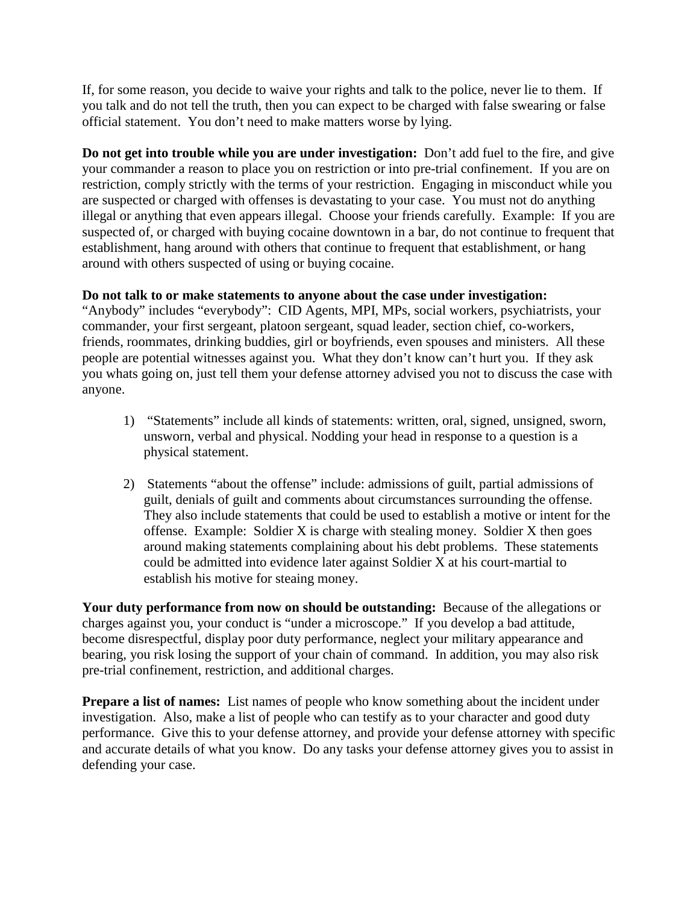If, for some reason, you decide to waive your rights and talk to the police, never lie to them. If you talk and do not tell the truth, then you can expect to be charged with false swearing or false official statement. You don't need to make matters worse by lying.

**Do not get into trouble while you are under investigation:** Don't add fuel to the fire, and give your commander a reason to place you on restriction or into pre-trial confinement. If you are on restriction, comply strictly with the terms of your restriction. Engaging in misconduct while you are suspected or charged with offenses is devastating to your case. You must not do anything illegal or anything that even appears illegal. Choose your friends carefully. Example: If you are suspected of, or charged with buying cocaine downtown in a bar, do not continue to frequent that establishment, hang around with others that continue to frequent that establishment, or hang around with others suspected of using or buying cocaine.

#### **Do not talk to or make statements to anyone about the case under investigation:**

"Anybody" includes "everybody": CID Agents, MPI, MPs, social workers, psychiatrists, your commander, your first sergeant, platoon sergeant, squad leader, section chief, co-workers, friends, roommates, drinking buddies, girl or boyfriends, even spouses and ministers. All these people are potential witnesses against you. What they don't know can't hurt you. If they ask you whats going on, just tell them your defense attorney advised you not to discuss the case with anyone.

- 1) "Statements" include all kinds of statements: written, oral, signed, unsigned, sworn, unsworn, verbal and physical. Nodding your head in response to a question is a physical statement.
- 2) Statements "about the offense" include: admissions of guilt, partial admissions of guilt, denials of guilt and comments about circumstances surrounding the offense. They also include statements that could be used to establish a motive or intent for the offense. Example: Soldier X is charge with stealing money. Soldier X then goes around making statements complaining about his debt problems. These statements could be admitted into evidence later against Soldier X at his court-martial to establish his motive for steaing money.

**Your duty performance from now on should be outstanding:** Because of the allegations or charges against you, your conduct is "under a microscope." If you develop a bad attitude, become disrespectful, display poor duty performance, neglect your military appearance and bearing, you risk losing the support of your chain of command. In addition, you may also risk pre-trial confinement, restriction, and additional charges.

**Prepare a list of names:** List names of people who know something about the incident under investigation. Also, make a list of people who can testify as to your character and good duty performance. Give this to your defense attorney, and provide your defense attorney with specific and accurate details of what you know. Do any tasks your defense attorney gives you to assist in defending your case.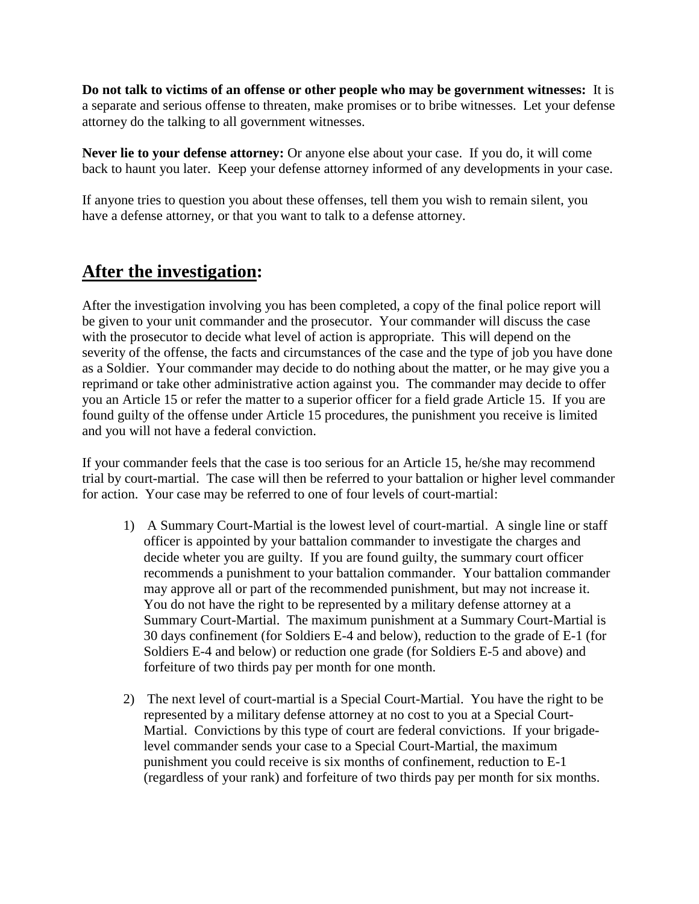**Do not talk to victims of an offense or other people who may be government witnesses:** It is a separate and serious offense to threaten, make promises or to bribe witnesses. Let your defense attorney do the talking to all government witnesses.

**Never lie to your defense attorney:** Or anyone else about your case. If you do, it will come back to haunt you later. Keep your defense attorney informed of any developments in your case.

If anyone tries to question you about these offenses, tell them you wish to remain silent, you have a defense attorney, or that you want to talk to a defense attorney.

### **After the investigation:**

After the investigation involving you has been completed, a copy of the final police report will be given to your unit commander and the prosecutor. Your commander will discuss the case with the prosecutor to decide what level of action is appropriate. This will depend on the severity of the offense, the facts and circumstances of the case and the type of job you have done as a Soldier. Your commander may decide to do nothing about the matter, or he may give you a reprimand or take other administrative action against you. The commander may decide to offer you an Article 15 or refer the matter to a superior officer for a field grade Article 15. If you are found guilty of the offense under Article 15 procedures, the punishment you receive is limited and you will not have a federal conviction.

If your commander feels that the case is too serious for an Article 15, he/she may recommend trial by court-martial. The case will then be referred to your battalion or higher level commander for action. Your case may be referred to one of four levels of court-martial:

- 1) A Summary Court-Martial is the lowest level of court-martial. A single line or staff officer is appointed by your battalion commander to investigate the charges and decide wheter you are guilty. If you are found guilty, the summary court officer recommends a punishment to your battalion commander. Your battalion commander may approve all or part of the recommended punishment, but may not increase it. You do not have the right to be represented by a military defense attorney at a Summary Court-Martial. The maximum punishment at a Summary Court-Martial is 30 days confinement (for Soldiers E-4 and below), reduction to the grade of E-1 (for Soldiers E-4 and below) or reduction one grade (for Soldiers E-5 and above) and forfeiture of two thirds pay per month for one month.
- 2) The next level of court-martial is a Special Court-Martial. You have the right to be represented by a military defense attorney at no cost to you at a Special Court-Martial. Convictions by this type of court are federal convictions. If your brigadelevel commander sends your case to a Special Court-Martial, the maximum punishment you could receive is six months of confinement, reduction to E-1 (regardless of your rank) and forfeiture of two thirds pay per month for six months.